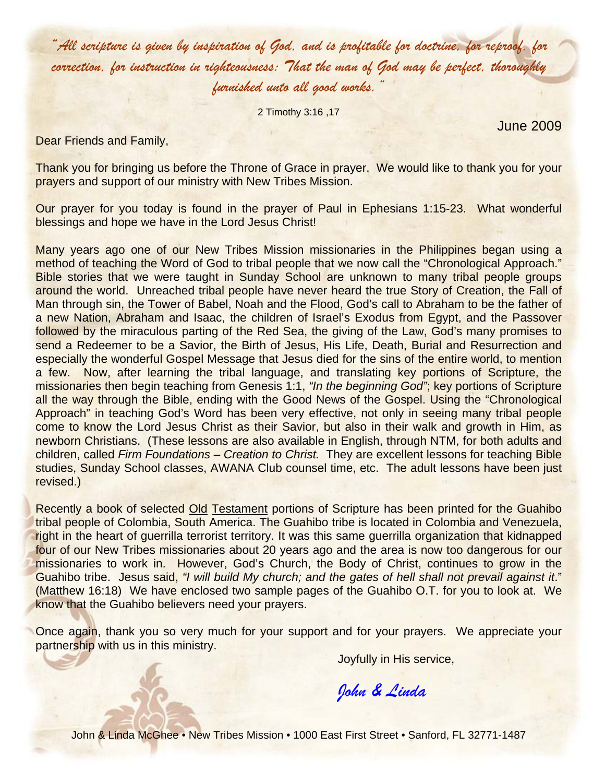*"All scripture is given by inspiration of God, and is profitable for doctrine, for reproof, for correction, for instruction in righteousness: That the man of God may be perfect, thoroughly furnished unto all good works."* 

2 Timothy 3:16 ,17

June 2009

Dear Friends and Family,

Thank you for bringing us before the Throne of Grace in prayer. We would like to thank you for your prayers and support of our ministry with New Tribes Mission.

Our prayer for you today is found in the prayer of Paul in Ephesians 1:15-23. What wonderful blessings and hope we have in the Lord Jesus Christ!

Many years ago one of our New Tribes Mission missionaries in the Philippines began using a method of teaching the Word of God to tribal people that we now call the "Chronological Approach." Bible stories that we were taught in Sunday School are unknown to many tribal people groups around the world. Unreached tribal people have never heard the true Story of Creation, the Fall of Man through sin, the Tower of Babel, Noah and the Flood, God's call to Abraham to be the father of a new Nation, Abraham and Isaac, the children of Israel's Exodus from Egypt, and the Passover followed by the miraculous parting of the Red Sea, the giving of the Law, God's many promises to send a Redeemer to be a Savior, the Birth of Jesus, His Life, Death, Burial and Resurrection and especially the wonderful Gospel Message that Jesus died for the sins of the entire world, to mention a few. Now, after learning the tribal language, and translating key portions of Scripture, the missionaries then begin teaching from Genesis 1:1, *"In the beginning God"*; key portions of Scripture all the way through the Bible, ending with the Good News of the Gospel. Using the "Chronological Approach" in teaching God's Word has been very effective, not only in seeing many tribal people come to know the Lord Jesus Christ as their Savior, but also in their walk and growth in Him, as newborn Christians. (These lessons are also available in English, through NTM, for both adults and children, called *Firm Foundations – Creation to Christ.* They are excellent lessons for teaching Bible studies, Sunday School classes, AWANA Club counsel time, etc. The adult lessons have been just revised.)

Recently a book of selected Old Testament portions of Scripture has been printed for the Guahibo tribal people of Colombia, South America. The Guahibo tribe is located in Colombia and Venezuela, right in the heart of guerrilla terrorist territory. It was this same guerrilla organization that kidnapped four of our New Tribes missionaries about 20 years ago and the area is now too dangerous for our missionaries to work in. However, God's Church, the Body of Christ, continues to grow in the Guahibo tribe. Jesus said, *"I will build My church; and the gates of hell shall not prevail against it*." (Matthew 16:18) We have enclosed two sample pages of the Guahibo O.T. for you to look at. We know that the Guahibo believers need your prayers.

Once again, thank you so very much for your support and for your prayers. We appreciate your partnership with us in this ministry.

Joyfully in His service,

*John & Linda* 

John & Linda McGhee • New Tribes Mission • 1000 East First Street • Sanford, FL 32771-1487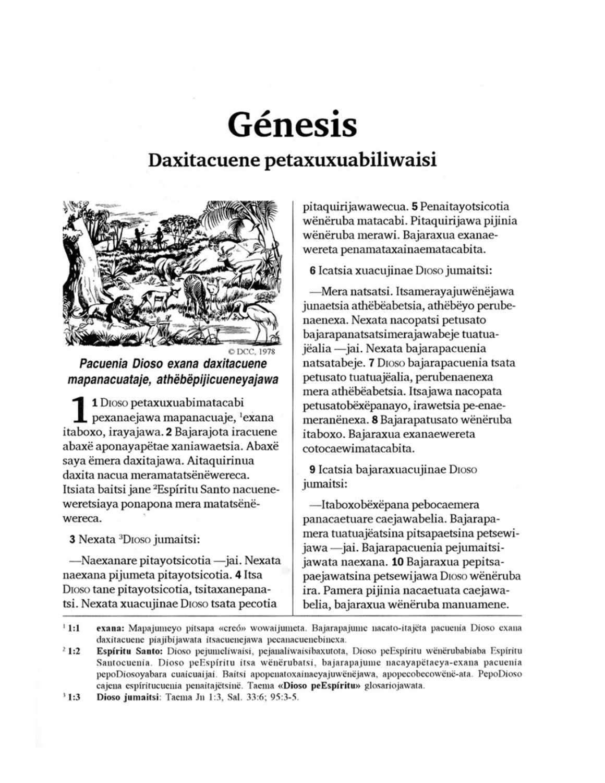## Génesis Daxitacuene petaxuxuabiliwaisi



Pacuenia Dioso exana daxitacuene mapanacuataje, athëbëpijicueneyajawa

1 DIoso petaxuxuabimatacabi pexanaejawa mapanacuaje, <sup>1</sup>exana itaboxo, irayajawa. 2 Bajarajota iracuene abaxë aponayapëtae xaniawaetsia. Abaxë saya ëmera daxitajawa. Aitaquirinua daxita nacua meramatatsënëwereca. Itsiata baitsi jane <sup>2</sup>Espíritu Santo nacueneweretsiaya ponapona mera matatsënëwereca.

3 Nexata <sup>3</sup>DIoso jumaitsi:

—Naexanare pitayotsicotia — jai. Nexata naexana pijumeta pitayotsicotia. 4 Itsa Dioso tane pitayotsicotia, tsitaxanepanatsi. Nexata xuacujinae Dioso tsata pecotia

pitaquirijawawecua. 5 Penaitayotsicotia wënëruba matacabi. Pitaquirijawa pijinia wënëruba merawi. Bajaraxua exanaewereta penamataxainaematacabita.

6 Icatsia xuacujinae Dioso jumaitsi:

—Mera natsatsi. Itsamerayajuwënëjawa junaetsia athëbëabetsia, athëbëyo perubenaenexa. Nexata nacopatsi petusato bajarapanatsatsimerajawabeje tuatuajëalia —jai. Nexata bajarapacuenia natsatabeje. 7 DIOSO bajarapacuenia tsata petusato tuatuajëalia, perubenaenexa mera athëbëabetsia. Itsajawa nacopata petusatobëxëpanayo, irawetsia pe-enaemeranënexa. 8 Bajarapatusato wënëruba itaboxo. Bajaraxua exanaewereta cotocaewimatacabita.

9 Icatsia bajaraxuacujinae Dioso jumaitsi:

—Itaboxobëxëpana pebocaemera panacaetuare caejawabelia. Bajarapamera tuatuajëatsina pitsapaetsina petsewijawa - jai. Bajarapacuenia pejumaitsijawata naexana. 10 Bajaraxua pepitsapaejawatsina petsewijawa Dioso wënëruba ira. Pamera pijinia nacaetuata caejawabelia, bajaraxua wënëruba manuamene.

 $1:1$ exana: Mapajumeyo pitsapa «creó» wowaijumeta. Bajarapajume nacato-itajëta pacuenia Dioso exana daxitacuene piajibijawata itsacuenejawa pecanacuenebinexa.

 $21:2$ Espíritu Santo: Dioso pejumeliwaisi, pejanaliwaisibaxutota, Dioso peEspíritu wenerubabiaba Espíritu Santocuenia. Dioso peEspíritu itsa wenerubatsi, bajarapajume nacayapetaeya-exana pacuenia pepoDiosoyabara cuaicuaijai. Baitsi apopenatoxainaeyajuwënëjawa, apopecobecowënë-ata. PepoDioso cajena espíritucuenia penaitajëtsinë. Taema «Dioso peEspíritu» glosariojawata.

 $31:3$ Dioso jumaitsi: Taema Jn 1:3, Sal. 33:6; 95:3-5.